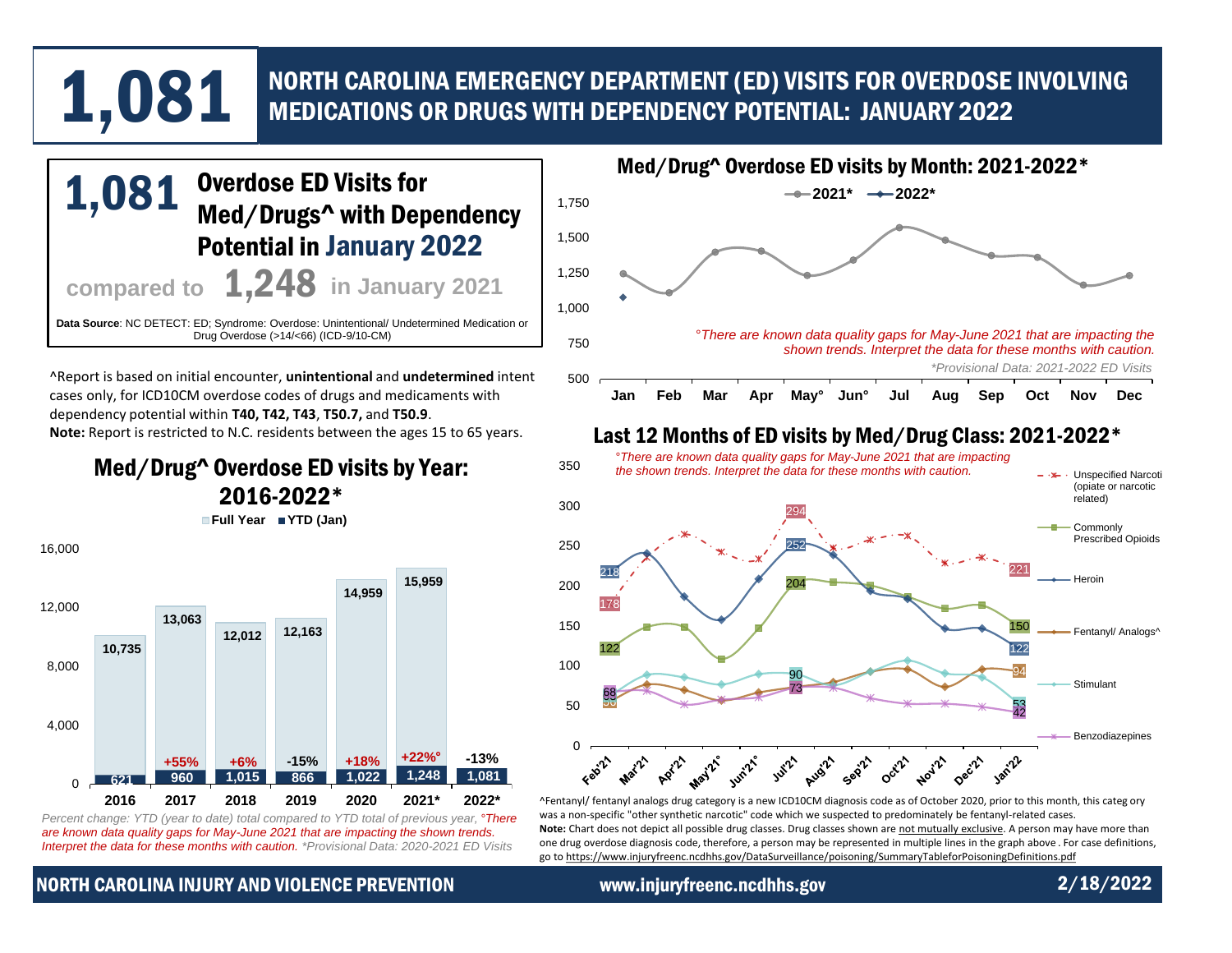# NORTH CAROLINA EMERGENCY DEPARTMENT (ED) VISITS FOR OVERDOSE INVOLVING 1,081 MEDICATIONS OR DRUGS WITH DEPENDENCY POTENTIAL: JANUARY 2022

## Med/Drugs^ with Dependency Potential in January 2022 **compared to 1,248** in January 2021 **Data Source**: NC DETECT: ED; Syndrome: Overdose: Unintentional/ Undetermined Medication or Drug Overdose (>14/<66) (ICD-9/10-CM) 1,081

^Report is based on initial encounter, **unintentional** and **undetermined** intent cases only, for ICD10CM overdose codes of drugs and medicaments with dependency potential within **T40, T42, T43**, **T50.7,** and **T50.9**. **Note:** Report is restricted to N.C. residents between the ages 15 to 65 years.

Med/Drug^ Overdose ED visits by Year: 2016-2022\*

**Full Year YTD (Jan)**



*Percent change: YTD (year to date) total compared to YTD total of previous year, °There are known data quality gaps for May-June 2021 that are impacting the shown trends. Interpret the data for these months with caution. \*Provisional Data: 2020-2021 ED Visits*



#### Last 12 Months of ED visits by Med/Drug Class: 2021-2022\*



[^Fentanyl/ fentanyl analogs drug category is a new ICD10CM diagnosis code as of October 2020, prior to this month, this categ](https://www.injuryfreenc.ncdhhs.gov/DataSurveillance/poisoning/SummaryTableforPoisoningDefinitions.pdf) ory was a non-specific "other synthetic narcotic" code which we suspected to predominately be fentanyl-related cases. Note: Chart does not depict all possible drug classes. Drug classes shown are not mutually exclusive. A person may have more than one drug overdose diagnosis code, therefore, a person may be represented in multiple lines in the graph above . For case definitions, go to https://www.injuryfreenc.ncdhhs.gov/DataSurveillance/poisoning/SummaryTableforPoisoningDefinitions.pdf

#### NORTH CAROLINA INJURY AND VIOLENCE PREVENTION www.injuryfreenc.ncdhhs.gov 2/18/2022